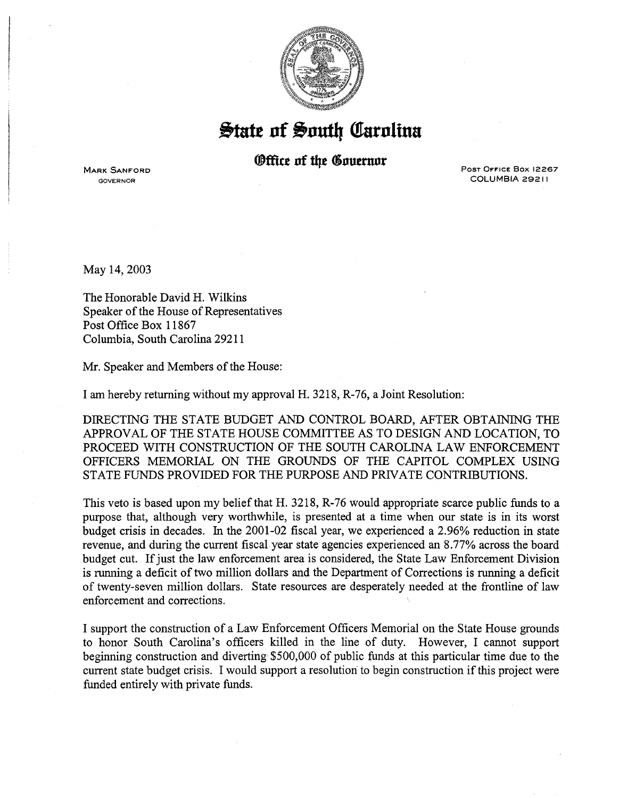

## $\frac{1}{2}$ tate of South Carolina

## *<u>®ffice</u>* of the Governor

**MARK SANFORD** GOVERNOR

Post Office Box 12267 COLUMBIA 29211

May 14,2003

The Honorable David H. Wilkins Speaker of the House of Representatives Post Office Box 11867 Columbia, South Carolina 29211

Mr. Speaker and Members of the House:

I am hereby returning without my approval H. 3218, R-76, a Joint Resolution:

DIRECTING THE STATE BUDGET AND CONTROL BOARD, AFTER OBTAINING THE APPROVAL OF THE STATE HOUSE COMMITTEE AS TO DESIGN AND LOCATION, TO PROCEED WITH CONSTRUCTION OF THE SOUTH CAROLINA LAW ENFORCEMENT OFFICERS MEMORIAL ON THE GROUNDS OF THE CAPITOL COMPLEX USING STATE FUNDS PROVIDED FOR THE PURPOSE AND PRIVATE CONTRIBUTIONS.

This veto is based upon my belief that H. 3218, R-76 would appropriate scarce public funds to a purpose that, although very worthwhile, is presented at a time when our state is in its worst budget crisis in decades. In the 2001-02 fiscal year, we experienced a 2.96% reduction in state revenue, and during the current fiscal. year state agencies experienced an 8.77% across the board budget cut. If just the law enforcement area is considered, the State Law Enforcement Division is running a deficit of two million dollars and the Department of Corrections is running a deficit of twenty-seven million dollars. State resources are desperately needed at the frontline of law enforcement and corrections.

I support the construction of a Law Enforcement Officers Memorial on the State House grounds to honor South Carolina's officers killed in the line of duty. However, I cannot support beginning construction and diverting· \$500,000 of public funds at this particular time due to the current state budget crisis. I would support a resolution to begin construction if this project were funded entirely with private funds.